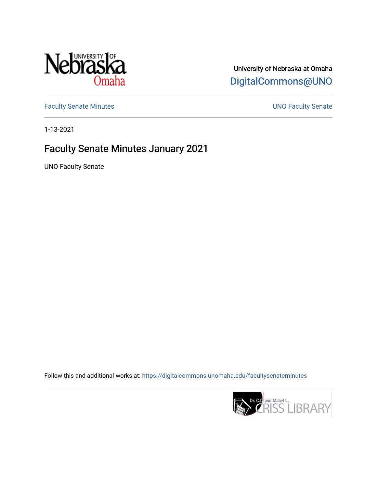

# University of Nebraska at Omaha [DigitalCommons@UNO](https://digitalcommons.unomaha.edu/)

[Faculty Senate Minutes](https://digitalcommons.unomaha.edu/facultysenateminutes) **Exercise Senate UNO Faculty Senate** 

1-13-2021

# Faculty Senate Minutes January 2021

UNO Faculty Senate

Follow this and additional works at: [https://digitalcommons.unomaha.edu/facultysenateminutes](https://digitalcommons.unomaha.edu/facultysenateminutes?utm_source=digitalcommons.unomaha.edu%2Ffacultysenateminutes%2F9&utm_medium=PDF&utm_campaign=PDFCoverPages) 

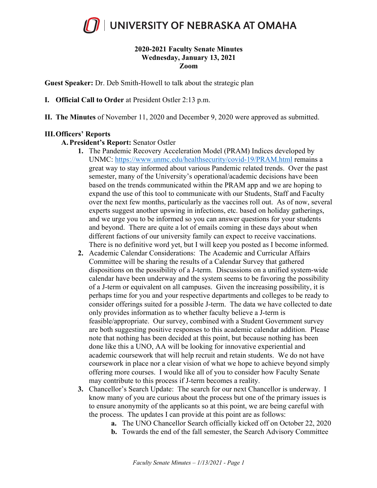

#### **2020-2021 Faculty Senate Minutes Wednesday, January 13, 2021 Zoom**

**Guest Speaker:** Dr. Deb Smith-Howell to talk about the strategic plan

- **I. Official Call to Order** at President Ostler 2:13 p.m.
- **II. The Minutes** of November 11, 2020 and December 9, 2020 were approved as submitted.

#### **III.Officers' Reports**

#### **A. President's Report:** Senator Ostler

- **1.** The Pandemic Recovery Acceleration Model (PRAM) Indices developed by UNMC: https://www.unmc.edu/healthsecurity/covid-19/PRAM.html remains a great way to stay informed about various Pandemic related trends. Over the past semester, many of the University's operational/academic decisions have been based on the trends communicated within the PRAM app and we are hoping to expand the use of this tool to communicate with our Students, Staff and Faculty over the next few months, particularly as the vaccines roll out. As of now, several experts suggest another upswing in infections, etc. based on holiday gatherings, and we urge you to be informed so you can answer questions for your students and beyond. There are quite a lot of emails coming in these days about when different factions of our university family can expect to receive vaccinations. There is no definitive word yet, but I will keep you posted as I become informed.
- **2.** Academic Calendar Considerations: The Academic and Curricular Affairs Committee will be sharing the results of a Calendar Survey that gathered dispositions on the possibility of a J-term. Discussions on a unified system-wide calendar have been underway and the system seems to be favoring the possibility of a J-term or equivalent on all campuses. Given the increasing possibility, it is perhaps time for you and your respective departments and colleges to be ready to consider offerings suited for a possible J-term. The data we have collected to date only provides information as to whether faculty believe a J-term is feasible/appropriate. Our survey, combined with a Student Government survey are both suggesting positive responses to this academic calendar addition. Please note that nothing has been decided at this point, but because nothing has been done like this a UNO, AA will be looking for innovative experiential and academic coursework that will help recruit and retain students. We do not have coursework in place nor a clear vision of what we hope to achieve beyond simply offering more courses. I would like all of you to consider how Faculty Senate may contribute to this process if J-term becomes a reality.
- **3.** Chancellor's Search Update: The search for our next Chancellor is underway. I know many of you are curious about the process but one of the primary issues is to ensure anonymity of the applicants so at this point, we are being careful with the process. The updates I can provide at this point are as follows:
	- **a.** The UNO Chancellor Search officially kicked off on October 22, 2020
	- **b.** Towards the end of the fall semester, the Search Advisory Committee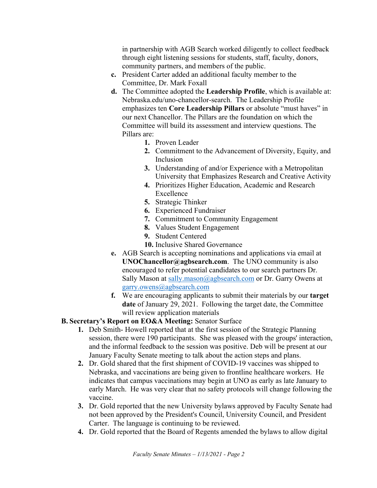in partnership with AGB Search worked diligently to collect feedback through eight listening sessions for students, staff, faculty, donors, community partners, and members of the public.

- **c.** President Carter added an additional faculty member to the Committee, Dr. Mark Foxall
- **d.** The Committee adopted the **Leadership Profile**, which is available at: Nebraska.edu/uno-chancellor-search. The Leadership Profile emphasizes ten **Core Leadership Pillars** or absolute "must haves" in our next Chancellor. The Pillars are the foundation on which the Committee will build its assessment and interview questions. The Pillars are:
	- **1.** Proven Leader
	- **2.** Commitment to the Advancement of Diversity, Equity, and Inclusion
	- **3.** Understanding of and/or Experience with a Metropolitan University that Emphasizes Research and Creative Activity
	- **4.** Prioritizes Higher Education, Academic and Research Excellence
	- **5.** Strategic Thinker
	- **6.** Experienced Fundraiser
	- **7.** Commitment to Community Engagement
	- **8.** Values Student Engagement
	- **9.** Student Centered
	- **10.** Inclusive Shared Governance
- **e.** AGB Search is accepting nominations and applications via email at **UNOChancellor@agbsearch.com**. The UNO community is also encouraged to refer potential candidates to our search partners Dr. Sally Mason at sally.mason@agbsearch.com or Dr. Garry Owens at garry.owens@agbsearch.com
- **f.** We are encouraging applicants to submit their materials by our **target date** of January 29, 2021. Following the target date, the Committee will review application materials

# **B. Secretary's Report on EO&A Meeting:** Senator Surface

- **1.** Deb Smith- Howell reported that at the first session of the Strategic Planning session, there were 190 participants. She was pleased with the groups' interaction, and the informal feedback to the session was positive. Deb will be present at our January Faculty Senate meeting to talk about the action steps and plans.
- **2.** Dr. Gold shared that the first shipment of COVID-19 vaccines was shipped to Nebraska, and vaccinations are being given to frontline healthcare workers. He indicates that campus vaccinations may begin at UNO as early as late January to early March. He was very clear that no safety protocols will change following the vaccine.
- **3.** Dr. Gold reported that the new University bylaws approved by Faculty Senate had not been approved by the President's Council, University Council, and President Carter. The language is continuing to be reviewed.
- **4.** Dr. Gold reported that the Board of Regents amended the bylaws to allow digital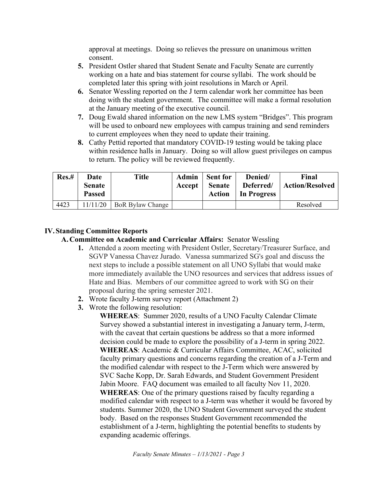approval at meetings. Doing so relieves the pressure on unanimous written consent.

- **5.** President Ostler shared that Student Senate and Faculty Senate are currently working on a hate and bias statement for course syllabi. The work should be completed later this spring with joint resolutions in March or April.
- **6.** Senator Wessling reported on the J term calendar work her committee has been doing with the student government. The committee will make a formal resolution at the January meeting of the executive council.
- **7.** Doug Ewald shared information on the new LMS system "Bridges". This program will be used to onboard new employees with campus training and send reminders to current employees when they need to update their training.
- **8.** Cathy Pettid reported that mandatory COVID-19 testing would be taking place within residence halls in January. Doing so will allow guest privileges on campus to return. The policy will be reviewed frequently.

| Res.# | Date<br><b>Senate</b><br><b>Passed</b> | <b>Title</b>            | <b>Admin</b><br>Accept | <b>Sent for</b><br><b>Senate</b><br><b>Action</b> | Denied/<br>Deferred/<br>In Progress | Final<br><b>Action/Resolved</b> |
|-------|----------------------------------------|-------------------------|------------------------|---------------------------------------------------|-------------------------------------|---------------------------------|
| 4423  | 11/11/20                               | <b>BoR Bylaw Change</b> |                        |                                                   |                                     | Resolved                        |

# **IV.Standing Committee Reports**

**A. Committee on Academic and Curricular Affairs:** Senator Wessling

- **1.** Attended a zoom meeting with President Ostler, Secretary/Treasurer Surface, and SGVP Vanessa Chavez Jurado. Vanessa summarized SG's goal and discuss the next steps to include a possible statement on all UNO Syllabi that would make more immediately available the UNO resources and services that address issues of Hate and Bias. Members of our committee agreed to work with SG on their proposal during the spring semester 2021.
- **2.** Wrote faculty J-term survey report (Attachment 2)
- **3.** Wrote the following resolution:

**WHEREAS**: Summer 2020, results of a UNO Faculty Calendar Climate Survey showed a substantial interest in investigating a January term, J-term, with the caveat that certain questions be address so that a more informed decision could be made to explore the possibility of a J-term in spring 2022. **WHEREAS**: Academic & Curricular Affairs Committee, ACAC, solicited faculty primary questions and concerns regarding the creation of a J-Term and the modified calendar with respect to the J-Term which were answered by SVC Sache Kopp, Dr. Sarah Edwards, and Student Government President Jabin Moore. FAQ document was emailed to all faculty Nov 11, 2020. **WHEREAS**: One of the primary questions raised by faculty regarding a modified calendar with respect to a J-term was whether it would be favored by students. Summer 2020, the UNO Student Government surveyed the student body. Based on the responses Student Government recommended the establishment of a J-term, highlighting the potential benefits to students by expanding academic offerings.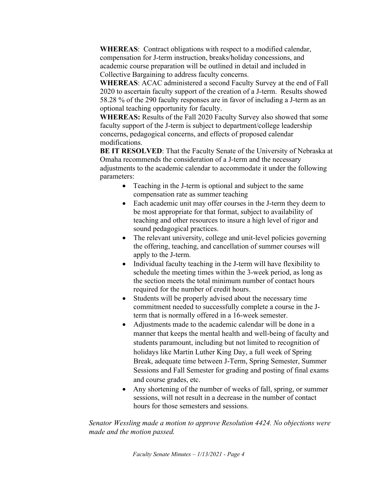**WHEREAS**: Contract obligations with respect to a modified calendar, compensation for J-term instruction, breaks/holiday concessions, and academic course preparation will be outlined in detail and included in Collective Bargaining to address faculty concerns.

**WHEREAS**: ACAC administered a second Faculty Survey at the end of Fall 2020 to ascertain faculty support of the creation of a J-term. Results showed 58.28 % of the 290 faculty responses are in favor of including a J-term as an optional teaching opportunity for faculty.

**WHEREAS:** Results of the Fall 2020 Faculty Survey also showed that some faculty support of the J-term is subject to department/college leadership concerns, pedagogical concerns, and effects of proposed calendar modifications.

**BE IT RESOLVED**: That the Faculty Senate of the University of Nebraska at Omaha recommends the consideration of a J-term and the necessary adjustments to the academic calendar to accommodate it under the following parameters:

- Teaching in the J-term is optional and subject to the same compensation rate as summer teaching
- Each academic unit may offer courses in the J-term they deem to be most appropriate for that format, subject to availability of teaching and other resources to insure a high level of rigor and sound pedagogical practices.
- The relevant university, college and unit-level policies governing the offering, teaching, and cancellation of summer courses will apply to the J-term.
- Individual faculty teaching in the J-term will have flexibility to schedule the meeting times within the 3-week period, as long as the section meets the total minimum number of contact hours required for the number of credit hours.
- Students will be properly advised about the necessary time commitment needed to successfully complete a course in the Jterm that is normally offered in a 16-week semester.
- Adjustments made to the academic calendar will be done in a manner that keeps the mental health and well-being of faculty and students paramount, including but not limited to recognition of holidays like Martin Luther King Day, a full week of Spring Break, adequate time between J-Term, Spring Semester, Summer Sessions and Fall Semester for grading and posting of final exams and course grades, etc.
- Any shortening of the number of weeks of fall, spring, or summer sessions, will not result in a decrease in the number of contact hours for those semesters and sessions.

*Senator Wessling made a motion to approve Resolution 4424. No objections were made and the motion passed.*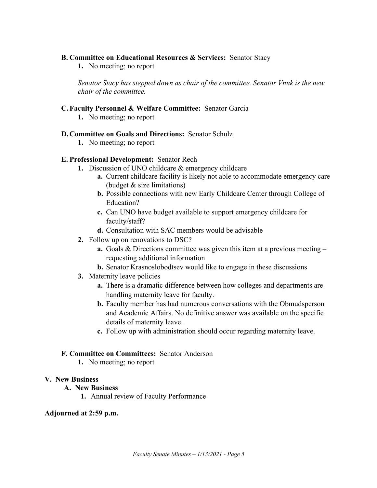#### **B. Committee on Educational Resources & Services:** Senator Stacy

**1.** No meeting; no report

*Senator Stacy has stepped down as chair of the committee. Senator Vnuk is the new chair of the committee.*

# **C. Faculty Personnel & Welfare Committee:** Senator Garcia

**1.** No meeting; no report

# **D. Committee on Goals and Directions:** Senator Schulz

**1.** No meeting; no report

# **E. Professional Development:** Senator Rech

- **1.** Discussion of UNO childcare & emergency childcare
	- **a.** Current childcare facility is likely not able to accommodate emergency care (budget & size limitations)
	- **b.** Possible connections with new Early Childcare Center through College of Education?
	- **c.** Can UNO have budget available to support emergency childcare for faculty/staff?
	- **d.** Consultation with SAC members would be advisable
- **2.** Follow up on renovations to DSC?
	- **a.** Goals & Directions committee was given this item at a previous meeting requesting additional information
	- **b.** Senator Krasnoslobodtsev would like to engage in these discussions
- **3.** Maternity leave policies
	- **a.** There is a dramatic difference between how colleges and departments are handling maternity leave for faculty.
	- **b.** Faculty member has had numerous conversations with the Obmudsperson and Academic Affairs. No definitive answer was available on the specific details of maternity leave.
	- **c.** Follow up with administration should occur regarding maternity leave.

# **F. Committee on Committees:** Senator Anderson

**1.** No meeting; no report

#### **V. New Business**

# **A. New Business**

**1.** Annual review of Faculty Performance

# **Adjourned at 2:59 p.m.**